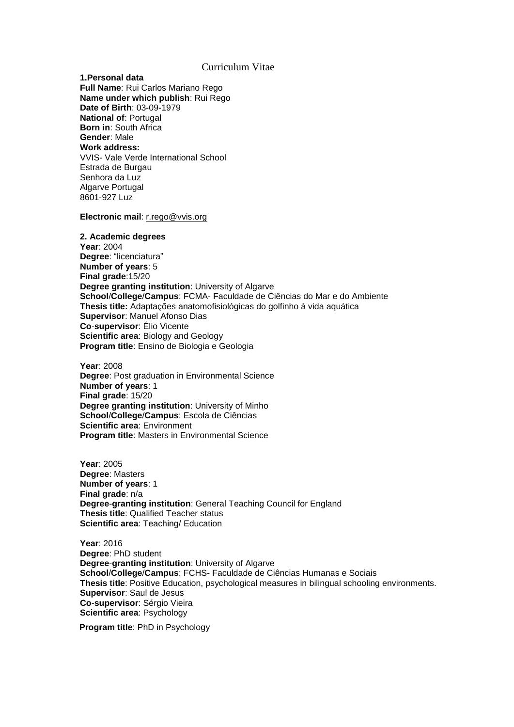# Curriculum Vitae

**1.Personal data Full Name**: Rui Carlos Mariano Rego **Name under which publish**: Rui Rego **Date of Birth**: 03-09-1979 **National of**: Portugal **Born in**: South Africa **Gender**: Male **Work address:** VVIS- Vale Verde International School Estrada de Burgau Senhora da Luz Algarve Portugal 8601-927 Luz

**Electronic mail**: [r.rego@vvis.org](mailto:r.rego@vvis.org)

**2. Academic degrees Year**: 2004 **Degree**: "licenciatura" **Number of years**: 5 **Final grade**:15/20 **Degree granting institution**: University of Algarve **School**/**College**/**Campus**: FCMA- Faculdade de Ciências do Mar e do Ambiente **Thesis title:** Adaptações anatomofisiológicas do golfinho à vida aquática **Supervisor**: Manuel Afonso Dias **Co**-**supervisor**: Élio Vicente **Scientific area**: Biology and Geology **Program title**: Ensino de Biologia e Geologia

**Year**: 2008 **Degree: Post graduation in Environmental Science Number of years**: 1 **Final grade**: 15/20 **Degree granting institution**: University of Minho **School**/**College**/**Campus**: Escola de Ciências **Scientific area**: Environment **Program title**: Masters in Environmental Science

**Year**: 2005 **Degree**: Masters **Number of years**: 1 **Final grade**: n/a **Degree**-**granting institution**: General Teaching Council for England **Thesis title**: Qualified Teacher status **Scientific area**: Teaching/ Education

**Year**: 2016 **Degree**: PhD student **Degree**-**granting institution**: University of Algarve **School**/**College**/**Campus**: FCHS- Faculdade de Ciências Humanas e Sociais **Thesis title**: Positive Education, psychological measures in bilingual schooling environments. **Supervisor**: Saul de Jesus **Co**-**supervisor**: Sérgio Vieira **Scientific area**: Psychology

**Program title**: PhD in Psychology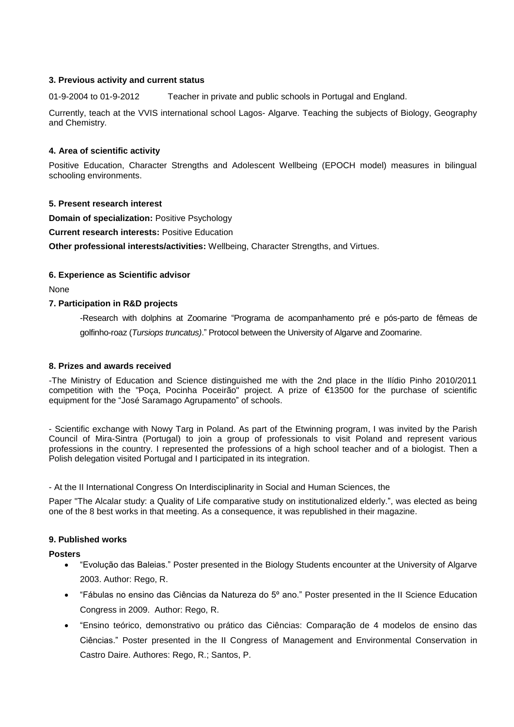## **3. Previous activity and current status**

01-9-2004 to 01-9-2012 Teacher in private and public schools in Portugal and England.

Currently, teach at the VVIS international school Lagos- Algarve. Teaching the subjects of Biology, Geography and Chemistry.

## **4. Area of scientific activity**

Positive Education, Character Strengths and Adolescent Wellbeing (EPOCH model) measures in bilingual schooling environments.

## **5. Present research interest**

**Domain of specialization:** Positive Psychology

**Current research interests:** Positive Education

**Other professional interests/activities:** Wellbeing, Character Strengths, and Virtues.

## **6. Experience as Scientific advisor**

None

#### **7. Participation in R&D projects**

-Research with dolphins at Zoomarine "Programa de acompanhamento pré e pós-parto de fêmeas de golfinho-roaz (*Tursiops truncatus)*." Protocol between the University of Algarve and Zoomarine.

#### **8. Prizes and awards received**

-The Ministry of Education and Science distinguished me with the 2nd place in the Ilídio Pinho 2010/2011 competition with the "Poça, Pocinha Poceirão" project. A prize of €13500 for the purchase of scientific equipment for the "José Saramago Agrupamento" of schools.

- Scientific exchange with Nowy Targ in Poland. As part of the Etwinning program, I was invited by the Parish Council of Mira-Sintra (Portugal) to join a group of professionals to visit Poland and represent various professions in the country. I represented the professions of a high school teacher and of a biologist. Then a Polish delegation visited Portugal and I participated in its integration.

- At the II International Congress On Interdisciplinarity in Social and Human Sciences, the

Paper "The Alcalar study: a Quality of Life comparative study on institutionalized elderly.", was elected as being one of the 8 best works in that meeting. As a consequence, it was republished in their magazine.

# **9. Published works**

#### **Posters**

- "Evolução das Baleias." Poster presented in the Biology Students encounter at the University of Algarve 2003. Author: Rego, R.
- "Fábulas no ensino das Ciências da Natureza do 5º ano." Poster presented in the II Science Education Congress in 2009. Author: Rego, R.
- "Ensino teórico, demonstrativo ou prático das Ciências: Comparação de 4 modelos de ensino das Ciências." Poster presented in the II Congress of Management and Environmental Conservation in Castro Daire. Authores: Rego, R.; Santos, P.